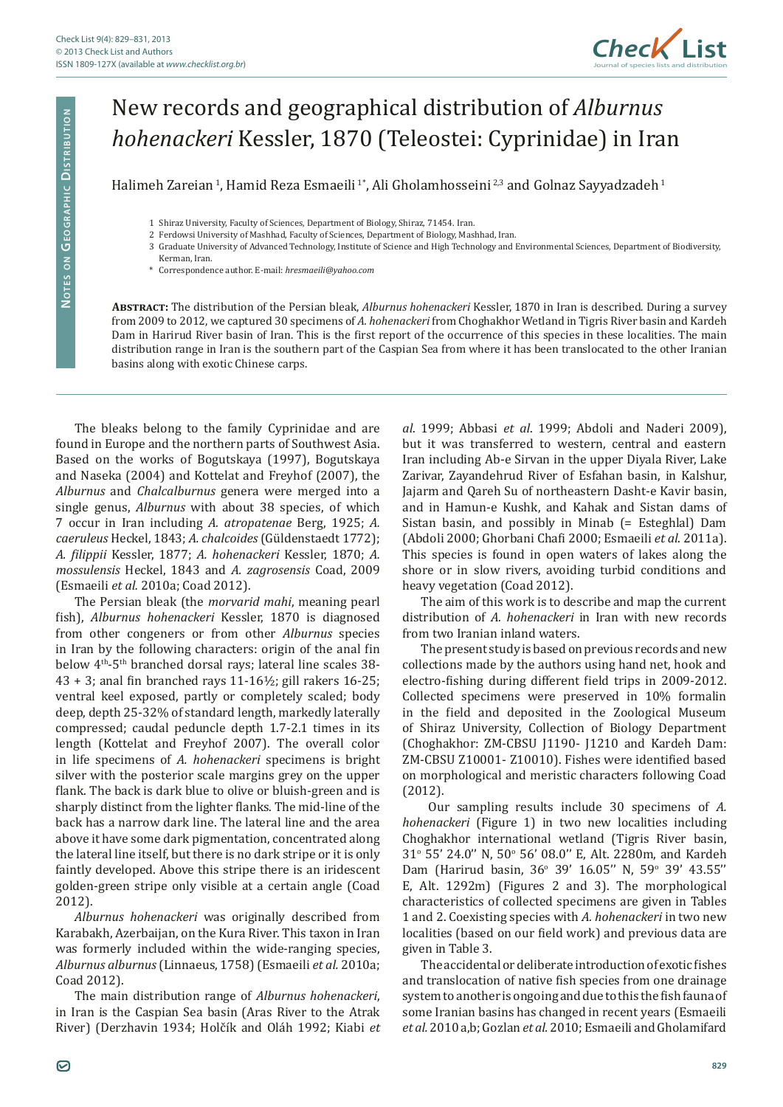

## New records and geographical distribution of *Alburnus hohenackeri* Kessler, 1870 (Teleostei: Cyprinidae) in Iran

Halimeh Zareian<sup>1</sup>, Hamid Reza Esmaeili<sup>1</sup>\*, Ali Gholamhosseini<sup>2,3</sup> and Golnaz Sayyadzadeh<sup>1</sup>

- 1 Shiraz University, Faculty of Sciences, Department of Biology, Shiraz, 71454. Iran.
- 2 Ferdowsi University of Mashhad, Faculty of Sciences, Department of Biology, Mashhad, Iran.
- 3 Graduate University of Advanced Technology, Institute of Science and High Technology and Environmental Sciences, Department of Biodiversity,
	- Kerman, Iran. \* Correspondence author. E-mail: *hresmaeili@yahoo.com*

**Abstract:** The distribution of the Persian bleak, *Alburnus hohenackeri* Kessler, 1870 in Iran is described. During a survey from 2009 to 2012, we captured 30 specimens of *A. hohenackeri* from Choghakhor Wetland in Tigris River basin and Kardeh Dam in Harirud River basin of Iran. This is the first report of the occurrence of this species in these localities. The main distribution range in Iran is the southern part of the Caspian Sea from where it has been translocated to the other Iranian basins along with exotic Chinese carps.

The bleaks belong to the family Cyprinidae and are found in Europe and the northern parts of Southwest Asia. Based on the works of Bogutskaya (1997), Bogutskaya and Naseka (2004) and Kottelat and Freyhof (2007), the *Alburnus* and *Chalcalburnus* genera were merged into a single genus, *Alburnus* with about 38 species, of which 7 occur in Iran including *A. atropatenae* Berg, 1925; *A. caeruleus* Heckel, 1843; *A. chalcoides* (Güldenstaedt 1772); *A. filippii* Kessler, 1877; *A. hohenackeri* Kessler, 1870; *A. mossulensis* Heckel, 1843 and *A. zagrosensis* Coad, 2009 (Esmaeili *et al.* 2010a; Coad 2012).

The Persian bleak (the *morvarid mahi*, meaning pearl fish), *Alburnus hohenackeri* Kessler, 1870 is diagnosed from other congeners or from other *Alburnus* species in Iran by the following characters: origin of the anal fin below 4<sup>th</sup>-5<sup>th</sup> branched dorsal rays; lateral line scales 38-43 + 3; anal fin branched rays 11-16½; gill rakers 16-25; ventral keel exposed, partly or completely scaled; body deep, depth 25-32% of standard length, markedly laterally compressed; caudal peduncle depth 1.7-2.1 times in its length (Kottelat and Freyhof 2007). The overall color in life specimens of *A. hohenackeri* specimens is bright silver with the posterior scale margins grey on the upper flank. The back is dark blue to olive or bluish-green and is sharply distinct from the lighter flanks. The mid-line of the back has a narrow dark line. The lateral line and the area above it have some dark pigmentation, concentrated along the lateral line itself, but there is no dark stripe or it is only faintly developed. Above this stripe there is an iridescent golden-green stripe only visible at a certain angle (Coad 2012).

*Alburnus hohenackeri* was originally described from Karabakh, Azerbaijan, on the Kura River. This taxon in Iran was formerly included within the wide-ranging species, *Alburnus alburnus* (Linnaeus, 1758) (Esmaeili *et al.* 2010a; Coad 2012).

The main distribution range of *Alburnus hohenackeri*, in Iran is the Caspian Sea basin (Aras River to the Atrak River) (Derzhavin 1934; Holčík and Oláh 1992; Kiabi *et*  *al*. 1999; Abbasi *et al*. 1999; Abdoli and Naderi 2009), but it was transferred to western, central and eastern Iran including Ab-e Sirvan in the upper Diyala River, Lake Zarivar, Zayandehrud River of Esfahan basin, in Kalshur, Jajarm and Qareh Su of northeastern Dasht-e Kavir basin, and in Hamun-e Kushk, and Kahak and Sistan dams of Sistan basin, and possibly in Minab (= Esteghlal) Dam (Abdoli 2000; Ghorbani Chafi 2000; Esmaeili *et al*. 2011a). This species is found in open waters of lakes along the shore or in slow rivers, avoiding turbid conditions and heavy vegetation (Coad 2012).

The aim of this work is to describe and map the current distribution of *A. hohenackeri* in Iran with new records from two Iranian inland waters.

The present study is based on previous records and new collections made by the authors using hand net, hook and electro-fishing during different field trips in 2009-2012. Collected specimens were preserved in 10% formalin in the field and deposited in the Zoological Museum of Shiraz University, Collection of Biology Department (Choghakhor: ZM-CBSU J1190- J1210 and Kardeh Dam: ZM-CBSU Z10001- Z10010). Fishes were identified based on morphological and meristic characters following Coad (2012).

 Our sampling results include 30 specimens of *A. hohenackeri* (Figure 1) in two new localities including Choghakhor international wetland (Tigris River basin, 31° 55' 24.0" N, 50° 56' 08.0" E, Alt. 2280m, and Kardeh Dam (Harirud basin, 36° 39' 16.05" N, 59° 39' 43.55" E, Alt. 1292m) (Figures 2 and 3). The morphological characteristics of collected specimens are given in Tables 1 and 2. Coexisting species with *A. hohenackeri* in two new localities (based on our field work) and previous data are given in Table 3.

The accidental or deliberate introduction of exotic fishes and translocation of native fish species from one drainage system to another is ongoing and due to this the fish fauna of some Iranian basins has changed in recent years (Esmaeili *et al.* 2010 a,b; Gozlan *et al.* 2010; Esmaeili and Gholamifard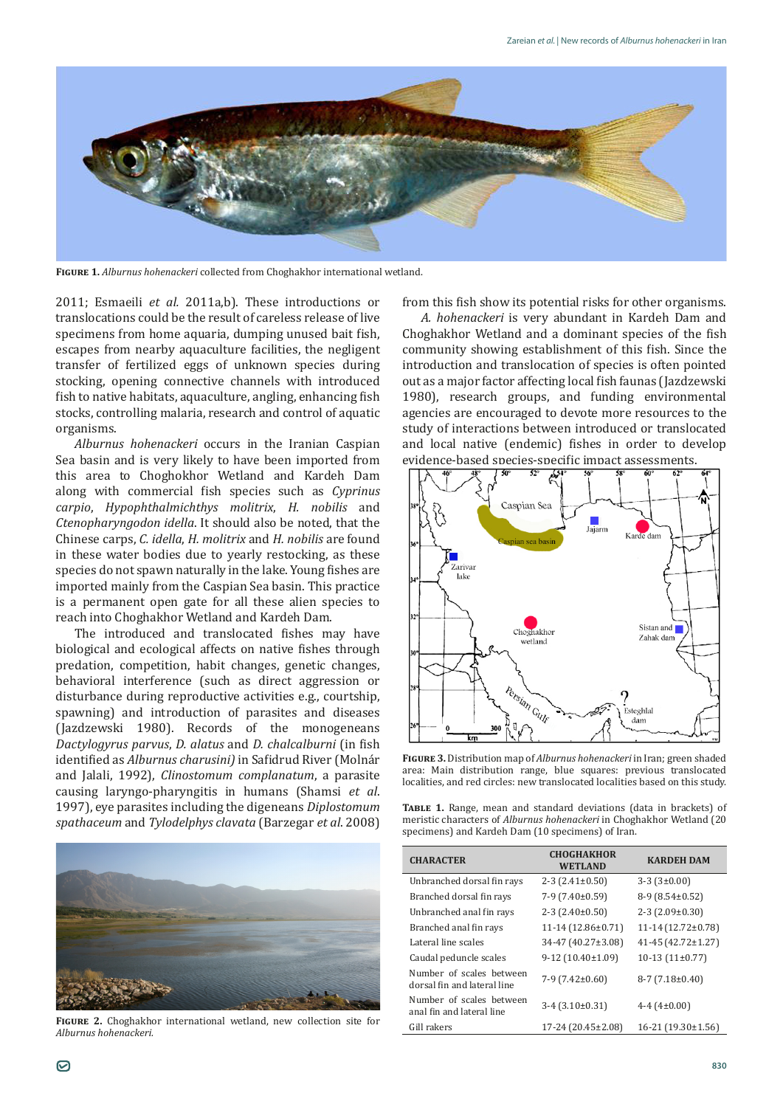

**Figure 1.** *Alburnus hohenackeri* collected from Choghakhor international wetland.

2011; Esmaeili *et al.* 2011a,b). These introductions or translocations could be the result of careless release of live specimens from home aquaria, dumping unused bait fish, escapes from nearby aquaculture facilities, the negligent transfer of fertilized eggs of unknown species during stocking, opening connective channels with introduced fish to native habitats, aquaculture, angling, enhancing fish stocks, controlling malaria, research and control of aquatic organisms.

*Alburnus hohenackeri* occurs in the Iranian Caspian Sea basin and is very likely to have been imported from this area to Choghokhor Wetland and Kardeh Dam along with commercial fish species such as *Cyprinus carpio*, *Hypophthalmichthys molitrix*, *H. nobilis* and *Ctenopharyngodon idella*. It should also be noted, that the Chinese carps, *C. idella*, *H. molitrix* and *H. nobilis* are found in these water bodies due to yearly restocking, as these species do not spawn naturally in the lake. Young fishes are imported mainly from the Caspian Sea basin. This practice is a permanent open gate for all these alien species to reach into Choghakhor Wetland and Kardeh Dam.

The introduced and translocated fishes may have biological and ecological affects on native fishes through predation, competition, habit changes, genetic changes, behavioral interference (such as direct aggression or disturbance during reproductive activities e.g., courtship, spawning) and introduction of parasites and diseases (Jazdzewski 1980). Records of the monogeneans *Dactylogyrus parvus*, *D. alatus* and *D. chalcalburni* (in fish identified as *Alburnus charusini)* in Safidrud River (Molnár and Jalali, 1992), *Clinostomum complanatum*, a parasite causing laryngo-pharyngitis in humans (Shamsi *et al*. 1997), eye parasites including the digeneans *Diplostomum spathaceum* and *Tylodelphys clavata* (Barzegar *et al*. 2008)



**Figure 2.** Choghakhor international wetland, new collection site for *Alburnus hohenackeri.*

from this fish show its potential risks for other organisms.

*A. hohenackeri* is very abundant in Kardeh Dam and Choghakhor Wetland and a dominant species of the fish community showing establishment of this fish. Since the introduction and translocation of species is often pointed out as a major factor affecting local fish faunas (Jazdzewski 1980), research groups, and funding environmental agencies are encouraged to devote more resources to the study of interactions between introduced or translocated and local native (endemic) fishes in order to develop evidence-based species-specific impact assessments.



**Figure 3.** Distribution map of *Alburnus hohenackeri* in Iran; green shaded area: Main distribution range, blue squares: previous translocated localities, and red circles: new translocated localities based on this study.

**Table 1.** Range, mean and standard deviations (data in brackets) of meristic characters of *Alburnus hohenackeri* in Choghakhor Wetland (20 specimens) and Kardeh Dam (10 specimens) of Iran.

| <b>CHARACTER</b>                                        | <b>CHOGHAKHOR</b><br><b>WETLAND</b> | <b>KARDEH DAM</b>         |
|---------------------------------------------------------|-------------------------------------|---------------------------|
| Unbranched dorsal fin rays                              | $2-3(2.41\pm0.50)$                  | $3-3(3\pm0.00)$           |
| Branched dorsal fin rays                                | $7-9(7.40\pm0.59)$                  | $8-9(8.54\pm0.52)$        |
| Unbranched anal fin rays                                | $2-3(2.40\pm0.50)$                  | $2-3(2.09\pm0.30)$        |
| Branched anal fin rays                                  | $11-14(12.86\pm0.71)$               | $11-14(12.72\pm0.78)$     |
| Lateral line scales                                     | 34-47 (40.27±3.08)                  | $41 - 45(42.72 \pm 1.27)$ |
| Caudal peduncle scales                                  | $9-12(10.40\pm1.09)$                | $10-13(11\pm0.77)$        |
| Number of scales between<br>dorsal fin and lateral line | $7-9(7.42\pm0.60)$                  | $8-7(7.18\pm0.40)$        |
| Number of scales between<br>anal fin and lateral line   | $3-4(3.10\pm0.31)$                  | 4-4 $(4\pm0.00)$          |
| Gill rakers                                             | $17-24(20.45\pm2.08)$               | $16-21(19.30\pm1.56)$     |